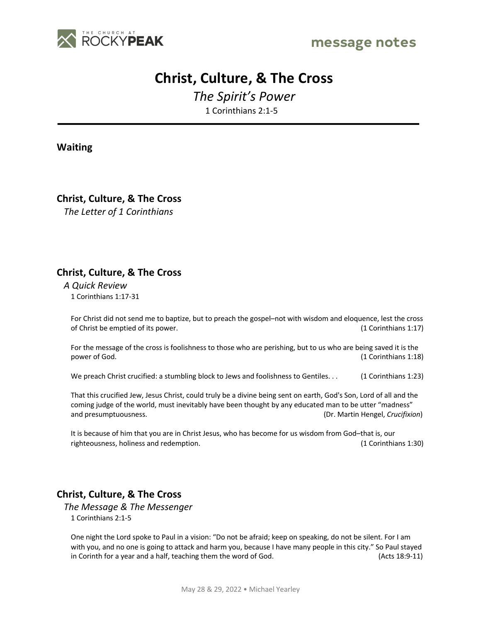

# **Christ, Culture, & The Cross**

*The Spirit's Power*

1 Corinthians 2:1-5

**Waiting**

**Christ, Culture, & The Cross**

*The Letter of 1 Corinthians*

## **Christ, Culture, & The Cross**

*A Quick Review* 1 Corinthians 1:17-31

For Christ did not send me to baptize, but to preach the gospel–not with wisdom and eloquence, lest the cross of Christ be emptied of its power. (1 Corinthians 1:17)

For the message of the cross is foolishness to those who are perishing, but to us who are being saved it is the power of God. (1 Corinthians 1:18)

We preach Christ crucified: a stumbling block to Jews and foolishness to Gentiles. . . (1 Corinthians 1:23)

That this crucified Jew, Jesus Christ, could truly be a divine being sent on earth, God's Son, Lord of all and the coming judge of the world, must inevitably have been thought by any educated man to be utter "madness" and presumptuousness. (Dr. Martin Hengel, *Crucifixion*)

It is because of him that you are in Christ Jesus, who has become for us wisdom from God–that is, our righteousness, holiness and redemption. (1 Corinthians 1:30)

## **Christ, Culture, & The Cross**

*The Message & The Messenger* 1 Corinthians 2:1-5

One night the Lord spoke to Paul in a vision: "Do not be afraid; keep on speaking, do not be silent. For I am with you, and no one is going to attack and harm you, because I have many people in this city." So Paul stayed in Corinth for a year and a half, teaching them the word of God. (Acts 18:9-11)